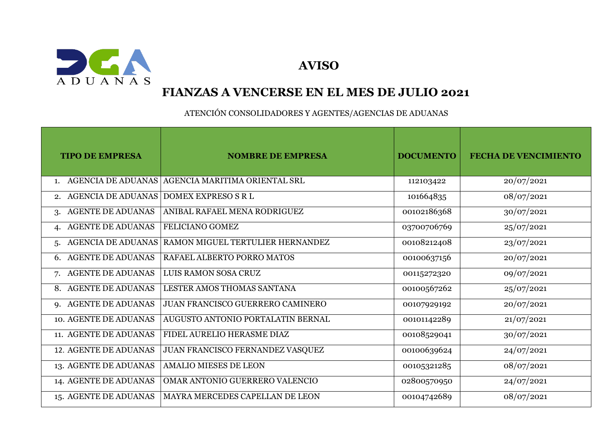

 **AVISO**

## **FIANZAS A VENCERSE EN EL MES DE JULIO 2021**

ATENCIÓN CONSOLIDADORES Y AGENTES/AGENCIAS DE ADUANAS

| <b>TIPO DE EMPRESA</b>          | <b>NOMBRE DE EMPRESA</b>          | <b>DOCUMENTO</b> | <b>FECHA DE VENCIMIENTO</b> |
|---------------------------------|-----------------------------------|------------------|-----------------------------|
| <b>AGENCIA DE ADUANAS</b>       | AGENCIA MARITIMA ORIENTAL SRL     | 112103422        | 20/07/2021                  |
| <b>AGENCIA DE ADUANAS</b><br>2. | DOMEX EXPRESO S R L               | 101664835        | 08/07/2021                  |
| <b>AGENTE DE ADUANAS</b><br>3.  | ANIBAL RAFAEL MENA RODRIGUEZ      | 00102186368      | 30/07/2021                  |
| <b>AGENTE DE ADUANAS</b>        | FELICIANO GOMEZ                   | 03700706769      | 25/07/2021                  |
| <b>AGENCIA DE ADUANAS</b><br>5. | RAMON MIGUEL TERTULIER HERNANDEZ  | 00108212408      | 23/07/2021                  |
| <b>AGENTE DE ADUANAS</b><br>6.  | RAFAEL ALBERTO PORRO MATOS        | 00100637156      | 20/07/2021                  |
| <b>AGENTE DE ADUANAS</b><br>7.  | LUIS RAMON SOSA CRUZ              | 00115272320      | 09/07/2021                  |
| <b>AGENTE DE ADUANAS</b><br>8.  | LESTER AMOS THOMAS SANTANA        | 00100567262      | 25/07/2021                  |
| 9. AGENTE DE ADUANAS            | JUAN FRANCISCO GUERRERO CAMINERO  | 00107929192      | 20/07/2021                  |
| 10. AGENTE DE ADUANAS           | AUGUSTO ANTONIO PORTALATIN BERNAL | 00101142289      | 21/07/2021                  |
| 11. AGENTE DE ADUANAS           | FIDEL AURELIO HERASME DIAZ        | 00108529041      | 30/07/2021                  |
| 12. AGENTE DE ADUANAS           | JUAN FRANCISCO FERNANDEZ VASQUEZ  | 00100639624      | 24/07/2021                  |
| 13. AGENTE DE ADUANAS           | <b>AMALIO MIESES DE LEON</b>      | 00105321285      | 08/07/2021                  |
| 14. AGENTE DE ADUANAS           | OMAR ANTONIO GUERRERO VALENCIO    | 02800570950      | 24/07/2021                  |
| 15. AGENTE DE ADUANAS           | MAYRA MERCEDES CAPELLAN DE LEON   | 00104742689      | 08/07/2021                  |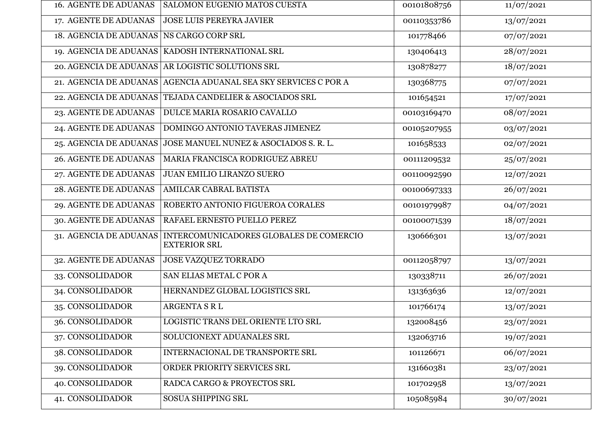| <b>16. AGENTE DE ADUANAS</b>             | <b>SALOMON EUGENIO MATOS CUESTA</b>                             | 00101808756 | 11/07/2021 |
|------------------------------------------|-----------------------------------------------------------------|-------------|------------|
| 17. AGENTE DE ADUANAS                    | <b>JOSE LUIS PEREYRA JAVIER</b>                                 | 00110353786 | 13/07/2021 |
| 18. AGENCIA DE ADUANAS NS CARGO CORP SRL |                                                                 | 101778466   | 07/07/2021 |
|                                          | 19. AGENCIA DE ADUANAS   KADOSH INTERNATIONAL SRL               | 130406413   | 28/07/2021 |
|                                          | 20. AGENCIA DE ADUANAS AR LOGISTIC SOLUTIONS SRL                | 130878277   | 18/07/2021 |
|                                          | 21. AGENCIA DE ADUANAS AGENCIA ADUANAL SEA SKY SERVICES C POR A | 130368775   | 07/07/2021 |
|                                          | 22. AGENCIA DE ADUANAS TEJADA CANDELIER & ASOCIADOS SRL         | 101654521   | 17/07/2021 |
| 23. AGENTE DE ADUANAS                    | DULCE MARIA ROSARIO CAVALLO                                     | 00103169470 | 08/07/2021 |
| 24. AGENTE DE ADUANAS                    | DOMINGO ANTONIO TAVERAS JIMENEZ                                 | 00105207955 | 03/07/2021 |
| 25. AGENCIA DE ADUANAS                   | JOSE MANUEL NUNEZ & ASOCIADOS S. R. L.                          | 101658533   | 02/07/2021 |
| <b>26. AGENTE DE ADUANAS</b>             | MARIA FRANCISCA RODRIGUEZ ABREU                                 | 00111209532 | 25/07/2021 |
| 27. AGENTE DE ADUANAS                    | JUAN EMILIO LIRANZO SUERO                                       | 00110092590 | 12/07/2021 |
| 28. AGENTE DE ADUANAS                    | AMILCAR CABRAL BATISTA                                          | 00100697333 | 26/07/2021 |
| 29. AGENTE DE ADUANAS                    | ROBERTO ANTONIO FIGUEROA CORALES                                | 00101979987 | 04/07/2021 |
| 30. AGENTE DE ADUANAS                    | RAFAEL ERNESTO PUELLO PEREZ                                     | 00100071539 | 18/07/2021 |
| 31. AGENCIA DE ADUANAS                   | INTERCOMUNICADORES GLOBALES DE COMERCIO<br><b>EXTERIOR SRL</b>  | 130666301   | 13/07/2021 |
| 32. AGENTE DE ADUANAS                    | JOSE VAZQUEZ TORRADO                                            | 00112058797 | 13/07/2021 |
| 33. CONSOLIDADOR                         | SAN ELIAS METAL C POR A                                         | 130338711   | 26/07/2021 |
| 34. CONSOLIDADOR                         | HERNANDEZ GLOBAL LOGISTICS SRL                                  | 131363636   | 12/07/2021 |
| 35. CONSOLIDADOR                         | ARGENTA S R L                                                   | 101766174   | 13/07/2021 |
| 36. CONSOLIDADOR                         | LOGISTIC TRANS DEL ORIENTE LTO SRL                              | 132008456   | 23/07/2021 |
| 37. CONSOLIDADOR                         | SOLUCIONEXT ADUANALES SRL                                       | 132063716   | 19/07/2021 |
| 38. CONSOLIDADOR                         | INTERNACIONAL DE TRANSPORTE SRL                                 | 101126671   | 06/07/2021 |
| 39. CONSOLIDADOR                         | ORDER PRIORITY SERVICES SRL                                     | 131660381   | 23/07/2021 |
| 40. CONSOLIDADOR                         | RADCA CARGO & PROYECTOS SRL                                     | 101702958   | 13/07/2021 |
| 41. CONSOLIDADOR                         | SOSUA SHIPPING SRL                                              | 105085984   | 30/07/2021 |